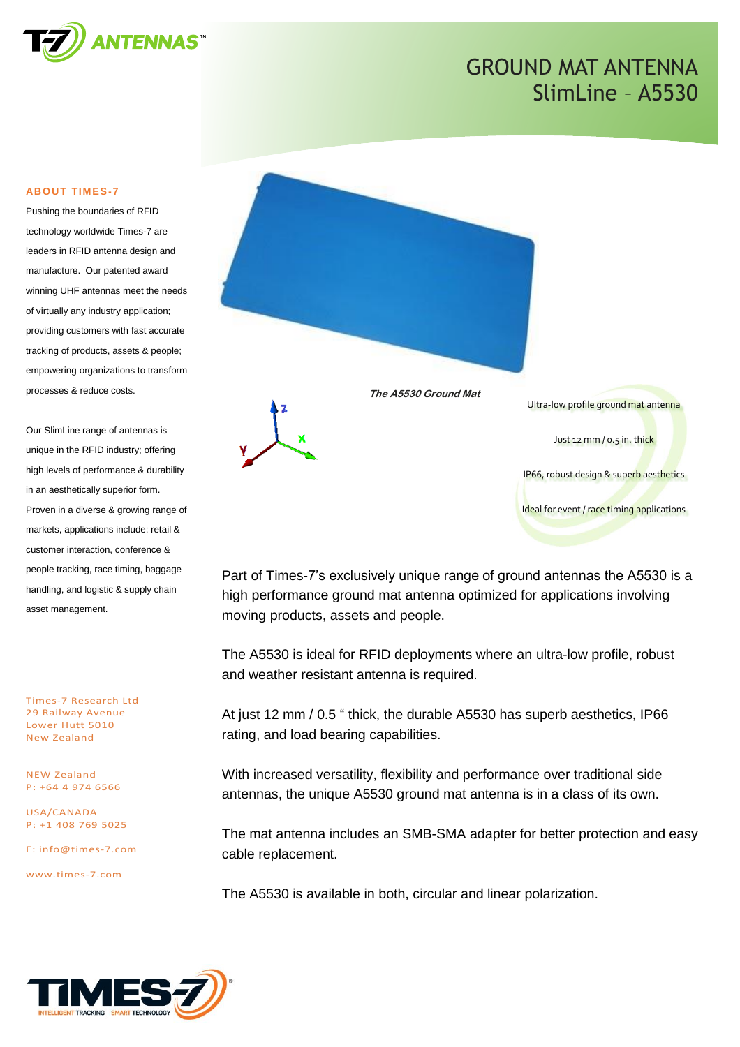

#### **ABOUT TIMES-7**

Pushing the boundaries of RFID technology worldwide Times-7 are leaders in RFID antenna design and manufacture. Our patented award winning UHF antennas meet the needs of virtually any industry application; providing customers with fast accurate tracking of products, assets & people; empowering organizations to transform processes & reduce costs.

Our SlimLine range of antennas is unique in the RFID industry; offering high levels of performance & durability in an aesthetically superior form. Proven in a diverse & growing range of markets, applications include: retail & customer interaction, conference & people tracking, race timing, baggage handling, and logistic & supply chain asset management.

Times-7 Research Ltd 29 Railway Avenue Lower Hutt 5010 New Zealand

NEW Zealand P: +64 4 974 6566

USA/CANADA P: +1 408 769 5025

E: [info@times-7.com](mailto:info@times-7.com)

www.times-7.com



Part of Times-7's exclusively unique range of ground antennas the A5530 is a high performance ground mat antenna optimized for applications involving moving products, assets and people.

The A5530 is ideal for RFID deployments where an ultra-low profile, robust and weather resistant antenna is required.

At just 12 mm / 0.5 " thick, the durable A5530 has superb aesthetics, IP66 rating, and load bearing capabilities.

With increased versatility, flexibility and performance over traditional side antennas, the unique A5530 ground mat antenna is in a class of its own.

The mat antenna includes an SMB-SMA adapter for better protection and easy cable replacement.

The A5530 is available in both, circular and linear polarization.

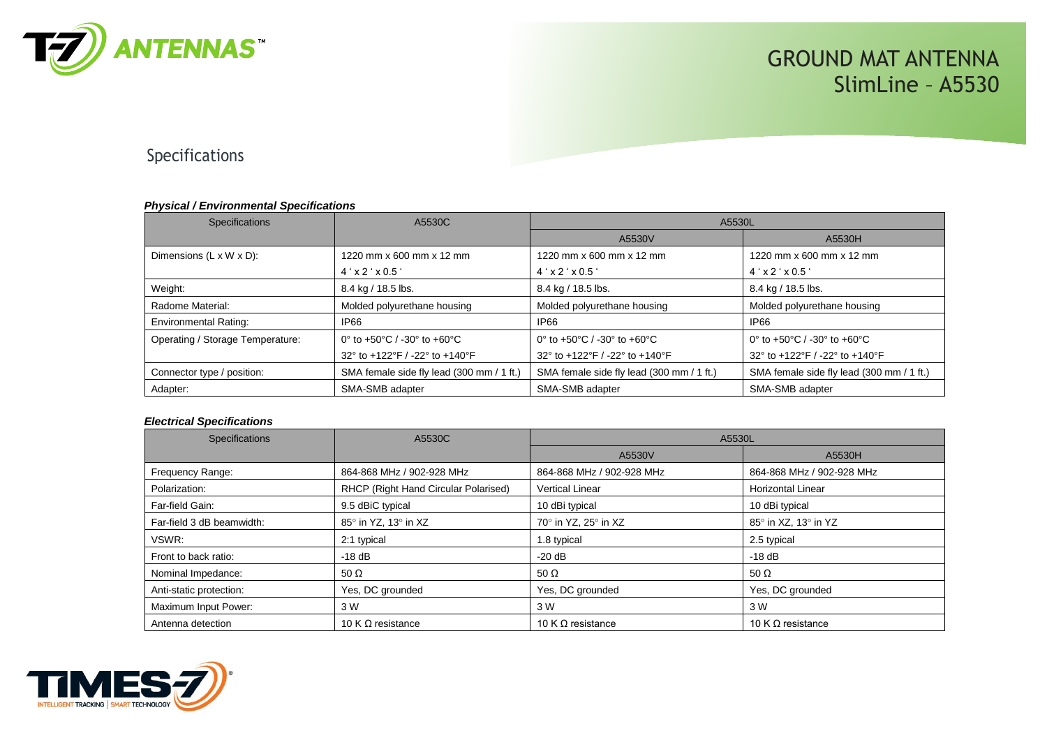

### Specifications

#### *Physical / Environmental Specifications*

| <b>Specifications</b>                | A5530C                                    | A5530L                                                            |                                           |
|--------------------------------------|-------------------------------------------|-------------------------------------------------------------------|-------------------------------------------|
|                                      |                                           | A5530V                                                            | A5530H                                    |
| Dimensions $(L \times W \times D)$ : | 1220 mm x 600 mm x 12 mm                  | 1220 mm x 600 mm x 12 mm                                          | 1220 mm x 600 mm x 12 mm                  |
|                                      | $4'$ x 2 $'$ x 0.5 $'$                    | $4'$ x 2 $'$ x 0.5 $'$                                            | $4' \times 2' \times 0.5'$                |
| Weight:                              | 8.4 kg / 18.5 lbs.                        | 8.4 kg / 18.5 lbs.                                                | 8.4 kg / 18.5 lbs.                        |
| Radome Material:                     | Molded polyurethane housing               | Molded polyurethane housing                                       | Molded polyurethane housing               |
| Environmental Rating:                | IP66                                      | <b>IP66</b>                                                       | <b>IP66</b>                               |
| Operating / Storage Temperature:     | 0° to +50°C / -30° to +60°C               | 0 $\degree$ to +50 $\degree$ C / -30 $\degree$ to +60 $\degree$ C | 0° to +50°C / -30° to +60°C               |
|                                      | 32° to +122°F / -22° to +140°F            | 32° to +122°F / -22° to +140°F                                    | 32° to +122°F / -22° to +140°F            |
| Connector type / position:           | SMA female side fly lead (300 mm / 1 ft.) | SMA female side fly lead (300 mm / 1 ft.)                         | SMA female side fly lead (300 mm / 1 ft.) |
| Adapter:                             | SMA-SMB adapter                           | SMA-SMB adapter                                                   | SMA-SMB adapter                           |

#### *Electrical Specifications*

| <b>Specifications</b>     | A5530C                               | A5530L                    |                           |
|---------------------------|--------------------------------------|---------------------------|---------------------------|
|                           |                                      | A5530V                    | A5530H                    |
| Frequency Range:          | 864-868 MHz / 902-928 MHz            | 864-868 MHz / 902-928 MHz | 864-868 MHz / 902-928 MHz |
| Polarization:             | RHCP (Right Hand Circular Polarised) | <b>Vertical Linear</b>    | <b>Horizontal Linear</b>  |
| Far-field Gain:           | 9.5 dBiC typical                     | 10 dBi typical            | 10 dBi typical            |
| Far-field 3 dB beamwidth: | 85° in YZ, 13° in XZ                 | 70° in YZ, 25° in XZ      | 85° in XZ, 13° in YZ      |
| VSWR:                     | 2:1 typical                          | 1.8 typical               | 2.5 typical               |
| Front to back ratio:      | $-18$ dB                             | $-20$ dB                  | $-18$ dB                  |
| Nominal Impedance:        | 50 $\Omega$                          | 50 $\Omega$               | 50 $\Omega$               |
| Anti-static protection:   | Yes, DC grounded                     | Yes, DC grounded          | Yes, DC grounded          |
| Maximum Input Power:      | 3 W                                  | 3 W                       | 3 W                       |
| Antenna detection         | 10 K $\Omega$ resistance             | 10 K $\Omega$ resistance  | 10 K $\Omega$ resistance  |

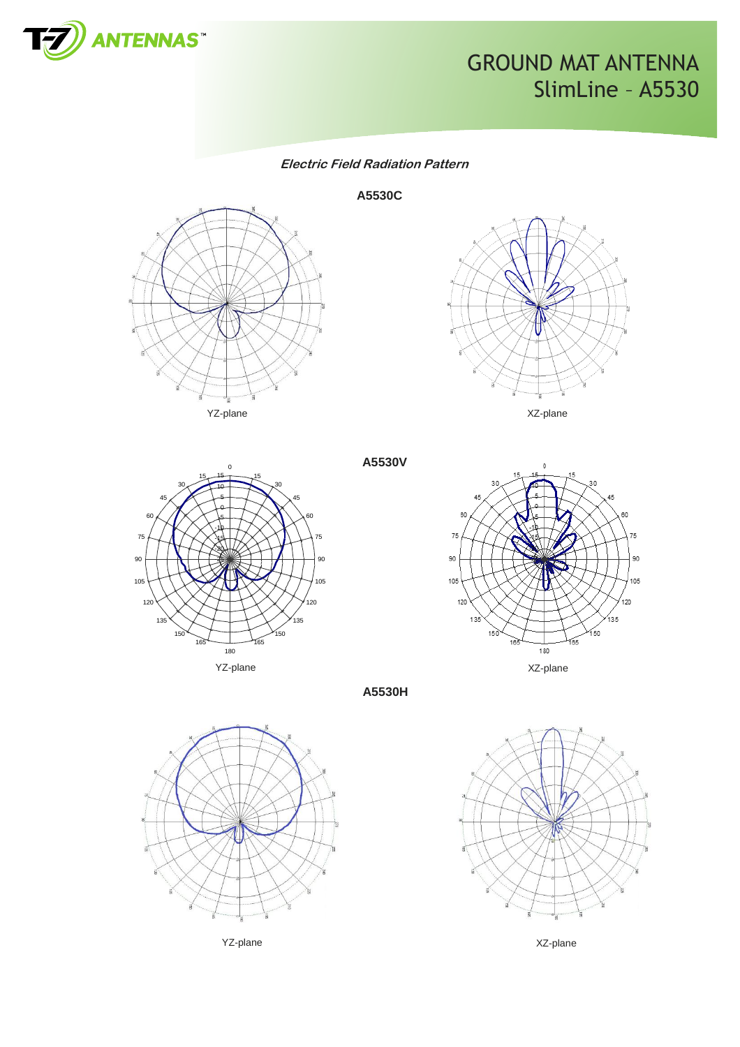

**Electric Field Radiation Pattern**

**A5530C**









**A5530H**

**A5530V**



YZ-plane XZ-plane